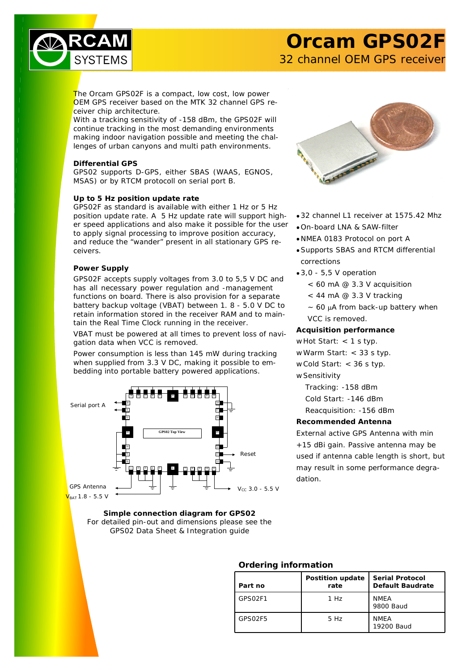

# **Orcam GPS02F**

32 channel OEM GPS receiver

The Orcam GPS02F is a compact, low cost, low power OEM GPS receiver based on the MTK 32 channel GPS receiver chip architecture.

With a tracking sensitivity of -158 dBm, the GPS02F will continue tracking in the most demanding environments making indoor navigation possible and meeting the challenges of urban canyons and multi path environments.

## **Differential GPS**

GPS02 supports D-GPS, either SBAS (WAAS, EGNOS, MSAS) or by RTCM protocoll on serial port B.

## **Up to 5 Hz position update rate**

GPS02F as standard is available with either 1 Hz or 5 Hz position update rate. A 5 Hz update rate will support higher speed applications and also make it possible for the user to apply signal processing to improve position accuracy, and reduce the "wander" present in all stationary GPS receivers.

## **Power Supply**

GPS02F accepts supply voltages from 3.0 to 5,5 V DC and has all necessary power regulation and -management functions on board. There is also provision for a separate battery backup voltage (VBAT) between 1. 8 - 5.0 V DC to retain information stored in the receiver RAM and to maintain the Real Time Clock running in the receiver.

VBAT must be powered at all times to prevent loss of navigation data when VCC is removed.

Power consumption is less than 145 mW during tracking when supplied from 3.3 V DC, making it possible to embedding into portable battery powered applications.



**Simple connection diagram for GPS02** *For detailed pin-out and dimensions please see the GPS02 Data Sheet & Integration guide*



- 32 channel L1 receiver at 1575.42 Mhz
- On-board LNA & SAW-filter
- NMEA 0183 Protocol on port A
- Supports SBAS and RTCM differential corrections
- 3,0 5,5 V operation
	- < 60 mA @ 3.3 V acquisition
	- $<$  44 mA @ 3.3 V tracking
	- $\sim$  60  $\mu$ A from back-up battery when VCC is removed.

### **Acquisition performance**

#### w Hot Start: < 1 s typ.

- w Warm Start: < 33 s typ.
- w Cold Start: < 36 s typ.
- w Sensitivity
	- Tracking: -158 dBm
	- Cold Start: -146 dBm

Reacquisition: -156 dBm

### **Recommended Antenna**

External active GPS Antenna with min +15 dBi gain. Passive antenna may be used if antenna cable length is short, but may result in some performance degradation.

## **Ordering information**

| Part no | Postition update<br>rate | <b>Serial Protocol</b><br><b>Default Baudrate</b> |
|---------|--------------------------|---------------------------------------------------|
| GPS02F1 | 1 Hz                     | <b>NMFA</b><br>9800 Baud                          |
| GPS02F5 | 5 Hz                     | <b>NMEA</b><br>19200 Baud                         |